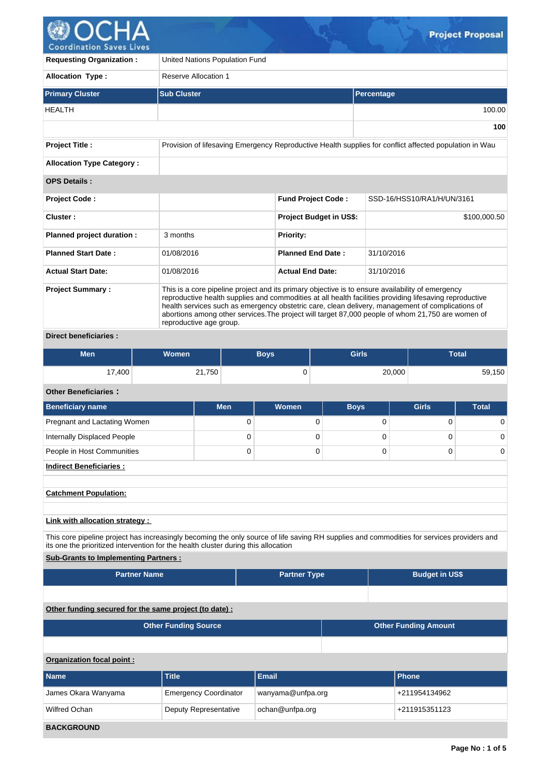

**BACKGROUND**

| <b>Requesting Organization:</b>                                                                                                                                                                                                  |                             | United Nations Population Fund |                                                                                                                                                                                                                                                                                                                                                                                                                      |                         |                                |              |                                                                                                        |              |  |  |
|----------------------------------------------------------------------------------------------------------------------------------------------------------------------------------------------------------------------------------|-----------------------------|--------------------------------|----------------------------------------------------------------------------------------------------------------------------------------------------------------------------------------------------------------------------------------------------------------------------------------------------------------------------------------------------------------------------------------------------------------------|-------------------------|--------------------------------|--------------|--------------------------------------------------------------------------------------------------------|--------------|--|--|
| <b>Allocation Type:</b>                                                                                                                                                                                                          |                             | <b>Reserve Allocation 1</b>    |                                                                                                                                                                                                                                                                                                                                                                                                                      |                         |                                |              |                                                                                                        |              |  |  |
| <b>Primary Cluster</b>                                                                                                                                                                                                           | <b>Sub Cluster</b>          |                                |                                                                                                                                                                                                                                                                                                                                                                                                                      |                         |                                | Percentage   |                                                                                                        |              |  |  |
| <b>HEALTH</b>                                                                                                                                                                                                                    |                             |                                |                                                                                                                                                                                                                                                                                                                                                                                                                      |                         |                                |              |                                                                                                        | 100.00       |  |  |
|                                                                                                                                                                                                                                  |                             |                                |                                                                                                                                                                                                                                                                                                                                                                                                                      |                         |                                |              |                                                                                                        | 100          |  |  |
| <b>Project Title:</b>                                                                                                                                                                                                            |                             |                                |                                                                                                                                                                                                                                                                                                                                                                                                                      |                         |                                |              | Provision of lifesaving Emergency Reproductive Health supplies for conflict affected population in Wau |              |  |  |
| <b>Allocation Type Category:</b>                                                                                                                                                                                                 |                             |                                |                                                                                                                                                                                                                                                                                                                                                                                                                      |                         |                                |              |                                                                                                        |              |  |  |
| <b>OPS Details:</b>                                                                                                                                                                                                              |                             |                                |                                                                                                                                                                                                                                                                                                                                                                                                                      |                         |                                |              |                                                                                                        |              |  |  |
| <b>Project Code:</b>                                                                                                                                                                                                             |                             |                                |                                                                                                                                                                                                                                                                                                                                                                                                                      |                         | <b>Fund Project Code:</b>      |              | SSD-16/HSS10/RA1/H/UN/3161                                                                             |              |  |  |
| Cluster:                                                                                                                                                                                                                         |                             |                                |                                                                                                                                                                                                                                                                                                                                                                                                                      |                         | <b>Project Budget in US\$:</b> |              |                                                                                                        | \$100,000.50 |  |  |
| Planned project duration :                                                                                                                                                                                                       | 3 months                    |                                |                                                                                                                                                                                                                                                                                                                                                                                                                      | <b>Priority:</b>        |                                |              |                                                                                                        |              |  |  |
| <b>Planned Start Date:</b>                                                                                                                                                                                                       | 01/08/2016                  |                                |                                                                                                                                                                                                                                                                                                                                                                                                                      |                         | <b>Planned End Date:</b>       | 31/10/2016   |                                                                                                        |              |  |  |
| <b>Actual Start Date:</b>                                                                                                                                                                                                        | 01/08/2016                  |                                |                                                                                                                                                                                                                                                                                                                                                                                                                      | <b>Actual End Date:</b> |                                | 31/10/2016   |                                                                                                        |              |  |  |
| <b>Project Summary:</b>                                                                                                                                                                                                          |                             | reproductive age group.        | This is a core pipeline project and its primary objective is to ensure availability of emergency<br>reproductive health supplies and commodities at all health facilities providing lifesaving reproductive<br>health services such as emergency obstetric care, clean delivery, management of complications of<br>abortions among other services. The project will target 87,000 people of whom 21,750 are women of |                         |                                |              |                                                                                                        |              |  |  |
| <b>Direct beneficiaries:</b>                                                                                                                                                                                                     |                             |                                |                                                                                                                                                                                                                                                                                                                                                                                                                      |                         |                                |              |                                                                                                        |              |  |  |
| <b>Men</b>                                                                                                                                                                                                                       | <b>Women</b>                |                                | <b>Boys</b>                                                                                                                                                                                                                                                                                                                                                                                                          |                         |                                | <b>Girls</b> |                                                                                                        | <b>Total</b> |  |  |
| 17,400                                                                                                                                                                                                                           |                             | 21,750                         |                                                                                                                                                                                                                                                                                                                                                                                                                      | 0<br>20,000             |                                |              | 59,150                                                                                                 |              |  |  |
| <b>Other Beneficiaries:</b>                                                                                                                                                                                                      |                             |                                |                                                                                                                                                                                                                                                                                                                                                                                                                      |                         |                                |              |                                                                                                        |              |  |  |
| <b>Beneficiary name</b>                                                                                                                                                                                                          |                             | <b>Men</b>                     |                                                                                                                                                                                                                                                                                                                                                                                                                      | <b>Women</b>            |                                | <b>Boys</b>  | <b>Girls</b>                                                                                           | <b>Total</b> |  |  |
| Pregnant and Lactating Women                                                                                                                                                                                                     |                             | 0                              |                                                                                                                                                                                                                                                                                                                                                                                                                      |                         | 0                              | 0            | $\mathbf 0$                                                                                            | 0            |  |  |
| <b>Internally Displaced People</b>                                                                                                                                                                                               |                             | 0                              |                                                                                                                                                                                                                                                                                                                                                                                                                      |                         | 0                              | 0            | $\mathbf 0$                                                                                            | 0            |  |  |
| People in Host Communities                                                                                                                                                                                                       |                             | 0                              |                                                                                                                                                                                                                                                                                                                                                                                                                      |                         | 0                              | 0            | 0                                                                                                      | 0            |  |  |
| <b>Indirect Beneficiaries:</b>                                                                                                                                                                                                   |                             |                                |                                                                                                                                                                                                                                                                                                                                                                                                                      |                         |                                |              |                                                                                                        |              |  |  |
| <b>Catchment Population:</b>                                                                                                                                                                                                     |                             |                                |                                                                                                                                                                                                                                                                                                                                                                                                                      |                         |                                |              |                                                                                                        |              |  |  |
|                                                                                                                                                                                                                                  |                             |                                |                                                                                                                                                                                                                                                                                                                                                                                                                      |                         |                                |              |                                                                                                        |              |  |  |
| Link with allocation strategy :                                                                                                                                                                                                  |                             |                                |                                                                                                                                                                                                                                                                                                                                                                                                                      |                         |                                |              |                                                                                                        |              |  |  |
| This core pipeline project has increasingly becoming the only source of life saving RH supplies and commodities for services providers and<br>its one the prioritized intervention for the health cluster during this allocation |                             |                                |                                                                                                                                                                                                                                                                                                                                                                                                                      |                         |                                |              |                                                                                                        |              |  |  |
| <b>Sub-Grants to Implementing Partners:</b>                                                                                                                                                                                      |                             |                                |                                                                                                                                                                                                                                                                                                                                                                                                                      |                         |                                |              |                                                                                                        |              |  |  |
| <b>Partner Name</b>                                                                                                                                                                                                              |                             |                                |                                                                                                                                                                                                                                                                                                                                                                                                                      | <b>Partner Type</b>     |                                |              | <b>Budget in US\$</b>                                                                                  |              |  |  |
|                                                                                                                                                                                                                                  |                             |                                |                                                                                                                                                                                                                                                                                                                                                                                                                      |                         |                                |              |                                                                                                        |              |  |  |
| Other funding secured for the same project (to date) :                                                                                                                                                                           |                             |                                |                                                                                                                                                                                                                                                                                                                                                                                                                      |                         |                                |              |                                                                                                        |              |  |  |
|                                                                                                                                                                                                                                  | <b>Other Funding Source</b> |                                |                                                                                                                                                                                                                                                                                                                                                                                                                      |                         |                                |              | <b>Other Funding Amount</b>                                                                            |              |  |  |
|                                                                                                                                                                                                                                  |                             |                                |                                                                                                                                                                                                                                                                                                                                                                                                                      |                         |                                |              |                                                                                                        |              |  |  |
| Organization focal point :                                                                                                                                                                                                       |                             |                                |                                                                                                                                                                                                                                                                                                                                                                                                                      |                         |                                |              |                                                                                                        |              |  |  |
| <b>Name</b>                                                                                                                                                                                                                      | <b>Title</b>                |                                | <b>Email</b>                                                                                                                                                                                                                                                                                                                                                                                                         |                         |                                |              | <b>Phone</b>                                                                                           |              |  |  |
| James Okara Wanyama                                                                                                                                                                                                              |                             | <b>Emergency Coordinator</b>   |                                                                                                                                                                                                                                                                                                                                                                                                                      |                         | wanyama@unfpa.org              |              | +211954134962                                                                                          |              |  |  |
| Wilfred Ochan                                                                                                                                                                                                                    |                             | Deputy Representative          |                                                                                                                                                                                                                                                                                                                                                                                                                      | ochan@unfpa.org         |                                |              | +211915351123                                                                                          |              |  |  |

 $\mathcal{G}$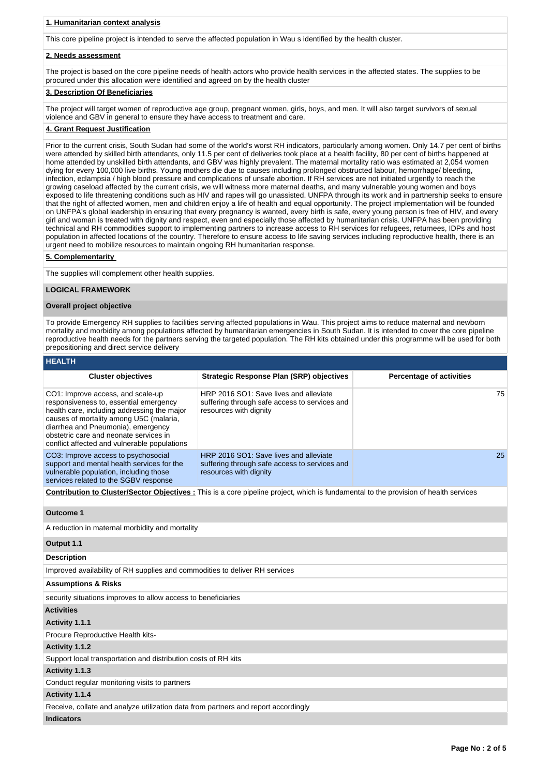# **1. Humanitarian context analysis**

This core pipeline project is intended to serve the affected population in Wau s identified by the health cluster.

## **2. Needs assessment**

The project is based on the core pipeline needs of health actors who provide health services in the affected states. The supplies to be procured under this allocation were identified and agreed on by the health cluster

# **3. Description Of Beneficiaries**

The project will target women of reproductive age group, pregnant women, girls, boys, and men. It will also target survivors of sexual violence and GBV in general to ensure they have access to treatment and care.

### **4. Grant Request Justification**

Prior to the current crisis, South Sudan had some of the world's worst RH indicators, particularly among women. Only 14.7 per cent of births were attended by skilled birth attendants, only 11.5 per cent of deliveries took place at a health facility, 80 per cent of births happened at home attended by unskilled birth attendants, and GBV was highly prevalent. The maternal mortality ratio was estimated at 2,054 women dying for every 100,000 live births. Young mothers die due to causes including prolonged obstructed labour, hemorrhage/ bleeding, infection, eclampsia / high blood pressure and complications of unsafe abortion. If RH services are not initiated urgently to reach the growing caseload affected by the current crisis, we will witness more maternal deaths, and many vulnerable young women and boys exposed to life threatening conditions such as HIV and rapes will go unassisted. UNFPA through its work and in partnership seeks to ensure that the right of affected women, men and children enjoy a life of health and equal opportunity. The project implementation will be founded on UNFPA's global leadership in ensuring that every pregnancy is wanted, every birth is safe, every young person is free of HIV, and every girl and woman is treated with dignity and respect, even and especially those affected by humanitarian crisis. UNFPA has been providing technical and RH commodities support to implementing partners to increase access to RH services for refugees, returnees, IDPs and host population in affected locations of the country. Therefore to ensure access to life saving services including reproductive health, there is an urgent need to mobilize resources to maintain ongoing RH humanitarian response.

# **5. Complementarity**

The supplies will complement other health supplies.

#### **LOGICAL FRAMEWORK**

## **Overall project objective**

To provide Emergency RH supplies to facilities serving affected populations in Wau. This project aims to reduce maternal and newborn mortality and morbidity among populations affected by humanitarian emergencies in South Sudan. It is intended to cover the core pipeline reproductive health needs for the partners serving the targeted population. The RH kits obtained under this programme will be used for both prepositioning and direct service delivery

| псанп                                                                                                                                                                                                                                                                                                 |                                                                                                                   |                                 |
|-------------------------------------------------------------------------------------------------------------------------------------------------------------------------------------------------------------------------------------------------------------------------------------------------------|-------------------------------------------------------------------------------------------------------------------|---------------------------------|
| <b>Cluster objectives</b>                                                                                                                                                                                                                                                                             | Strategic Response Plan (SRP) objectives                                                                          | <b>Percentage of activities</b> |
| CO1: Improve access, and scale-up<br>responsiveness to, essential emergency<br>health care, including addressing the major<br>causes of mortality among U5C (malaria,<br>diarrhea and Pneumonia), emergency<br>obstetric care and neonate services in<br>conflict affected and vulnerable populations | HRP 2016 SO1: Save lives and alleviate<br>suffering through safe access to services and<br>resources with dignity | 75                              |
| CO3: Improve access to psychosocial<br>support and mental health services for the<br>vulnerable population, including those<br>services related to the SGBV response                                                                                                                                  | HRP 2016 SO1: Save lives and alleviate<br>suffering through safe access to services and<br>resources with dignity | 25                              |

**Contribution to Cluster/Sector Objectives :** This is a core pipeline project, which is fundamental to the provision of health services

**Outcome 1**

**HEALTH**

A reduction in maternal morbidity and mortality

### **Output 1.1**

#### **Description**

Improved availability of RH supplies and commodities to deliver RH services

#### **Assumptions & Risks**

security situations improves to allow access to beneficiaries

# **Activities**

#### **Activity 1.1.1**

Procure Reproductive Health kits-

## **Activity 1.1.2**

Support local transportation and distribution costs of RH kits

### **Activity 1.1.3**

Conduct regular monitoring visits to partners

## **Activity 1.1.4**

Receive, collate and analyze utilization data from partners and report accordingly

### **Indicators**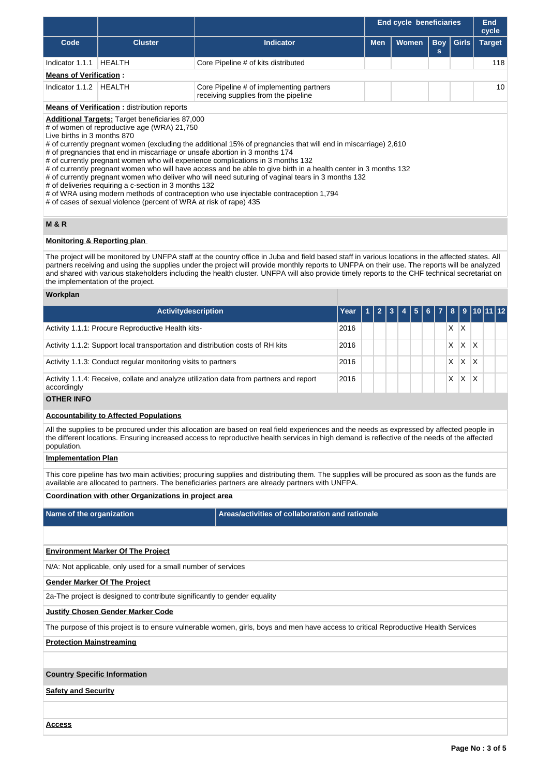|                                 |                                                                                                                                                                                                                               |                                                                                                                                                                                                                                                                                                                                                                                                                                                                                                                                                                                                   |      | <b>End cycle beneficiaries</b> |  |       |  |  |                 | <b>End</b><br>cycle |               |
|---------------------------------|-------------------------------------------------------------------------------------------------------------------------------------------------------------------------------------------------------------------------------|---------------------------------------------------------------------------------------------------------------------------------------------------------------------------------------------------------------------------------------------------------------------------------------------------------------------------------------------------------------------------------------------------------------------------------------------------------------------------------------------------------------------------------------------------------------------------------------------------|------|--------------------------------|--|-------|--|--|-----------------|---------------------|---------------|
| Code                            | <b>Indicator</b><br><b>Cluster</b>                                                                                                                                                                                            |                                                                                                                                                                                                                                                                                                                                                                                                                                                                                                                                                                                                   |      |                                |  | Women |  |  | $Boy \mid$<br>s | Girls               | <b>Target</b> |
| Indicator 1.1.1                 | <b>HEALTH</b>                                                                                                                                                                                                                 | Core Pipeline # of kits distributed                                                                                                                                                                                                                                                                                                                                                                                                                                                                                                                                                               |      |                                |  |       |  |  |                 |                     | 118           |
| <b>Means of Verification:</b>   |                                                                                                                                                                                                                               |                                                                                                                                                                                                                                                                                                                                                                                                                                                                                                                                                                                                   |      |                                |  |       |  |  |                 |                     |               |
| Indicator 1.1.2                 | HEALTH                                                                                                                                                                                                                        | Core Pipeline # of implementing partners<br>receiving supplies from the pipeline                                                                                                                                                                                                                                                                                                                                                                                                                                                                                                                  |      |                                |  |       |  |  |                 | 10                  |               |
|                                 | <b>Means of Verification:</b> distribution reports                                                                                                                                                                            |                                                                                                                                                                                                                                                                                                                                                                                                                                                                                                                                                                                                   |      |                                |  |       |  |  |                 |                     |               |
| Live births in 3 months 870     | Additional Targets: Target beneficiaries 87,000<br># of women of reproductive age (WRA) 21,750<br># of deliveries requiring a c-section in 3 months 132<br># of cases of sexual violence (percent of WRA at risk of rape) 435 | # of currently pregnant women (excluding the additional 15% of pregnancies that will end in miscarriage) 2,610<br># of pregnancies that end in miscarriage or unsafe abortion in 3 months 174<br># of currently pregnant women who will experience complications in 3 months 132<br># of currently pregnant women who will have access and be able to give birth in a health center in 3 months 132<br># of currently pregnant women who deliver who will need suturing of vaginal tears in 3 months 132<br># of WRA using modern methods of contraception who use injectable contraception 1,794 |      |                                |  |       |  |  |                 |                     |               |
| <b>M &amp; R</b>                |                                                                                                                                                                                                                               |                                                                                                                                                                                                                                                                                                                                                                                                                                                                                                                                                                                                   |      |                                |  |       |  |  |                 |                     |               |
|                                 | <b>Monitoring &amp; Reporting plan</b>                                                                                                                                                                                        |                                                                                                                                                                                                                                                                                                                                                                                                                                                                                                                                                                                                   |      |                                |  |       |  |  |                 |                     |               |
|                                 | the implementation of the project.                                                                                                                                                                                            | The project will be monitored by UNFPA staff at the country office in Juba and field based staff in various locations in the affected states. All<br>partners receiving and using the supplies under the project will provide monthly reports to UNFPA on their use. The reports will be analyzed<br>and shared with various stakeholders including the health cluster. UNFPA will also provide timely reports to the CHF technical secretariat on                                                                                                                                                |      |                                |  |       |  |  |                 |                     |               |
| Workplan                        |                                                                                                                                                                                                                               |                                                                                                                                                                                                                                                                                                                                                                                                                                                                                                                                                                                                   |      |                                |  |       |  |  |                 |                     |               |
|                                 | <b>Activitydescription</b>                                                                                                                                                                                                    |                                                                                                                                                                                                                                                                                                                                                                                                                                                                                                                                                                                                   | Year |                                |  |       |  |  | 8               | 9                   | 10111         |
|                                 | Activity 1.1.1: Procure Reproductive Health kits-                                                                                                                                                                             |                                                                                                                                                                                                                                                                                                                                                                                                                                                                                                                                                                                                   | 2016 |                                |  |       |  |  | X.              | X                   |               |
|                                 |                                                                                                                                                                                                                               | Activity 1.1.2: Support local transportation and distribution costs of RH kits                                                                                                                                                                                                                                                                                                                                                                                                                                                                                                                    | 2016 |                                |  |       |  |  | X.              | $X$ $X$             |               |
|                                 | Activity 1.1.3: Conduct regular monitoring visits to partners                                                                                                                                                                 |                                                                                                                                                                                                                                                                                                                                                                                                                                                                                                                                                                                                   | 2016 |                                |  |       |  |  | X.              | $\mathsf{X}$        | ΙX.           |
| accordingly                     |                                                                                                                                                                                                                               | Activity 1.1.4: Receive, collate and analyze utilization data from partners and report                                                                                                                                                                                                                                                                                                                                                                                                                                                                                                            | 2016 |                                |  |       |  |  | X.              | $X$ $X$             |               |
| <b>OTHER INFO</b>               |                                                                                                                                                                                                                               |                                                                                                                                                                                                                                                                                                                                                                                                                                                                                                                                                                                                   |      |                                |  |       |  |  |                 |                     |               |
|                                 | <b>Accountability to Affected Populations</b>                                                                                                                                                                                 |                                                                                                                                                                                                                                                                                                                                                                                                                                                                                                                                                                                                   |      |                                |  |       |  |  |                 |                     |               |
| population.                     |                                                                                                                                                                                                                               | All the supplies to be procured under this allocation are based on real field experiences and the needs as expressed by affected people in<br>the different locations. Ensuring increased access to reproductive health services in high demand is reflective of the needs of the affected                                                                                                                                                                                                                                                                                                        |      |                                |  |       |  |  |                 |                     |               |
| <b>Implementation Plan</b>      |                                                                                                                                                                                                                               |                                                                                                                                                                                                                                                                                                                                                                                                                                                                                                                                                                                                   |      |                                |  |       |  |  |                 |                     |               |
|                                 |                                                                                                                                                                                                                               | This core pipeline has two main activities; procuring supplies and distributing them. The supplies will be procured as soon as the funds are<br>available are allocated to partners. The beneficiaries partners are already partners with UNFPA.                                                                                                                                                                                                                                                                                                                                                  |      |                                |  |       |  |  |                 |                     |               |
|                                 | Coordination with other Organizations in project area                                                                                                                                                                         |                                                                                                                                                                                                                                                                                                                                                                                                                                                                                                                                                                                                   |      |                                |  |       |  |  |                 |                     |               |
| Name of the organization        |                                                                                                                                                                                                                               | Areas/activities of collaboration and rationale                                                                                                                                                                                                                                                                                                                                                                                                                                                                                                                                                   |      |                                |  |       |  |  |                 |                     |               |
|                                 |                                                                                                                                                                                                                               |                                                                                                                                                                                                                                                                                                                                                                                                                                                                                                                                                                                                   |      |                                |  |       |  |  |                 |                     |               |
|                                 | <b>Environment Marker Of The Project</b>                                                                                                                                                                                      |                                                                                                                                                                                                                                                                                                                                                                                                                                                                                                                                                                                                   |      |                                |  |       |  |  |                 |                     |               |
|                                 | N/A: Not applicable, only used for a small number of services                                                                                                                                                                 |                                                                                                                                                                                                                                                                                                                                                                                                                                                                                                                                                                                                   |      |                                |  |       |  |  |                 |                     |               |
|                                 | <b>Gender Marker Of The Project</b>                                                                                                                                                                                           |                                                                                                                                                                                                                                                                                                                                                                                                                                                                                                                                                                                                   |      |                                |  |       |  |  |                 |                     |               |
|                                 | 2a-The project is designed to contribute significantly to gender equality                                                                                                                                                     |                                                                                                                                                                                                                                                                                                                                                                                                                                                                                                                                                                                                   |      |                                |  |       |  |  |                 |                     |               |
|                                 | <b>Justify Chosen Gender Marker Code</b>                                                                                                                                                                                      |                                                                                                                                                                                                                                                                                                                                                                                                                                                                                                                                                                                                   |      |                                |  |       |  |  |                 |                     |               |
|                                 |                                                                                                                                                                                                                               | The purpose of this project is to ensure vulnerable women, girls, boys and men have access to critical Reproductive Health Services                                                                                                                                                                                                                                                                                                                                                                                                                                                               |      |                                |  |       |  |  |                 |                     |               |
| <b>Protection Mainstreaming</b> |                                                                                                                                                                                                                               |                                                                                                                                                                                                                                                                                                                                                                                                                                                                                                                                                                                                   |      |                                |  |       |  |  |                 |                     |               |
|                                 |                                                                                                                                                                                                                               |                                                                                                                                                                                                                                                                                                                                                                                                                                                                                                                                                                                                   |      |                                |  |       |  |  |                 |                     |               |
|                                 | <b>Country Specific Information</b>                                                                                                                                                                                           |                                                                                                                                                                                                                                                                                                                                                                                                                                                                                                                                                                                                   |      |                                |  |       |  |  |                 |                     |               |
| <b>Safety and Security</b>      |                                                                                                                                                                                                                               |                                                                                                                                                                                                                                                                                                                                                                                                                                                                                                                                                                                                   |      |                                |  |       |  |  |                 |                     |               |
|                                 |                                                                                                                                                                                                                               |                                                                                                                                                                                                                                                                                                                                                                                                                                                                                                                                                                                                   |      |                                |  |       |  |  |                 |                     |               |
| <u>Access</u>                   |                                                                                                                                                                                                                               |                                                                                                                                                                                                                                                                                                                                                                                                                                                                                                                                                                                                   |      |                                |  |       |  |  |                 |                     |               |